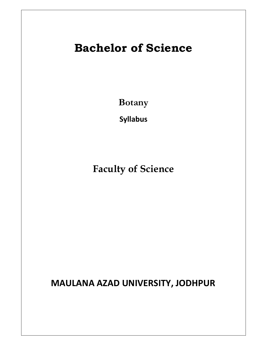# **Bachelor of Science**

**Botany**

**Syllabus**

# **Faculty of Science**

**MAULANA AZAD UNIVERSITY, JODHPUR**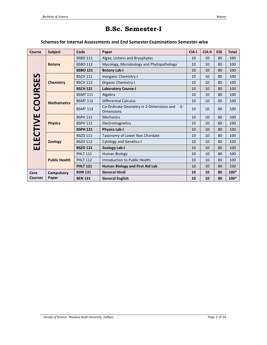# **B.Sc. Semester-I**

| Course                   | <b>Subject</b>                                                                                                                                                    | Code            | Paper                                     | CIA-I | <b>CIA-II</b> | <b>ESE</b> | <b>Total</b> |
|--------------------------|-------------------------------------------------------------------------------------------------------------------------------------------------------------------|-----------------|-------------------------------------------|-------|---------------|------------|--------------|
|                          |                                                                                                                                                                   | <b>BSBO 111</b> | Algae, Lichens and Bryophytes             | 10    | 10            | 80         | 100          |
|                          | <b>Botany</b>                                                                                                                                                     | <b>BSBO 112</b> | Mycology, Microbiology and Phytopathology | 10    | 10            | 80         | 100          |
|                          |                                                                                                                                                                   | <b>BSBO 121</b> | <b>Botany Lab-I</b>                       | 10    | 10            | 80         | 100          |
| <b>RSES</b>              |                                                                                                                                                                   | <b>BSCH 111</b> | Inorganic Chemistry-I                     | 10    | 10            | 80         | 100          |
|                          | <b>Chemistry</b>                                                                                                                                                  | <b>BSCH 112</b> | Organic Chemistry-I                       | 10    | 10            | 80         | 100          |
|                          |                                                                                                                                                                   | <b>BSCH 121</b> | <b>Laboratory Course-I</b>                | 10    | 10            | 80         | 100          |
| $\overline{\phantom{0}}$ |                                                                                                                                                                   | <b>BSMT 111</b> | Algebra                                   | 10    | 10            | 80         | 100          |
|                          | <b>Differential Calculus</b><br><b>BSMT 112</b><br><b>Mathematics</b><br>Co-Ordinate Geometry in 2-Dimensions and<br>$3-$<br><b>BSMT 113</b><br><b>Dimensions</b> |                 |                                           | 10    | 10            | 80         | 100          |
| <b>O</b>                 |                                                                                                                                                                   | 10              | 10                                        | 80    | 100           |            |              |
|                          | <b>Physics</b>                                                                                                                                                    | <b>BSPH 111</b> | <b>Mechanics</b>                          | 10    | 10            | 80         | 100          |
|                          |                                                                                                                                                                   | <b>BSPH 112</b> | Electromagnetics                          | 10    | 10            | 80         | 100          |
| ELECTIVE                 |                                                                                                                                                                   | <b>BSPH 121</b> | <b>Physics Lab-I</b>                      | 10    | 10            | 80         | 100          |
|                          |                                                                                                                                                                   | <b>BSZO 111</b> | Taxonomy of Lower Non Chordate            | 10    | 10            | 80         | 100          |
|                          | <b>Zoology</b>                                                                                                                                                    | <b>BSZO 112</b> | <b>Cytology and Genetics-I</b>            | 10    | 10            | 80         | 100          |
|                          |                                                                                                                                                                   | <b>BSZO 121</b> | <b>Zoology Lab-I</b>                      | 10    | 10            | 80         | 100          |
|                          |                                                                                                                                                                   | <b>PHLT 111</b> | <b>Human Biology</b>                      | 10    | 10            | 80         | 100          |
|                          | <b>Public Health</b>                                                                                                                                              | <b>PHLT 112</b> | Introduction to Public Health             | 10    | 10            | 80         | 100          |
|                          |                                                                                                                                                                   | <b>PHLT 121</b> | <b>Human Biology and First Aid Lab</b>    | 10    | 10            | 80         | 100          |
| Core                     | <b>Compulsory</b>                                                                                                                                                 | <b>BHN 131</b>  | <b>General Hindi</b>                      | 10    | 10            | 80         | $100*$       |
| <b>Courses</b>           | Paper                                                                                                                                                             | <b>BEN 131</b>  | <b>General English</b>                    | 10    | 10            | 80         | $100*$       |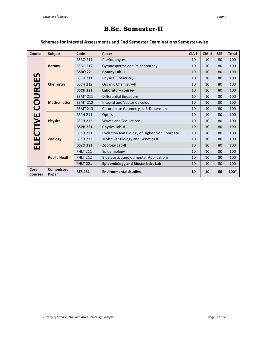# **B.Sc. Semester-II**

| Course                   | <b>Subject</b>             | Code            | Paper                                          | CIA-I | <b>CIA-II</b> | <b>ESE</b> | <b>Total</b> |
|--------------------------|----------------------------|-----------------|------------------------------------------------|-------|---------------|------------|--------------|
|                          |                            | <b>BSBO 211</b> | Pteridophytes                                  | 10    | 10            | 80         | 100          |
|                          | <b>Botany</b>              | <b>BSBO 212</b> | Gymnosperms and Palaeobotany                   | 10    | 10            | 80         | 100          |
|                          |                            | <b>BSBO 221</b> | <b>Botany Lab-II</b>                           | 10    | 10            | 80         | 100          |
| <u>51</u>                |                            | <b>BSCH 211</b> | Physical Chemistry-I                           | 10    | 10            | 80         | 100          |
| RS <sub>I</sub>          | <b>Chemistry</b>           | <b>BSCH 212</b> | Organic Chemistry-II                           | 10    | 10            | 80         | 100          |
|                          |                            | <b>BSCH 221</b> | Laboratory course-II                           | 10    | 10            | 80         | 100          |
| $\overline{\phantom{0}}$ |                            | <b>BSMT 211</b> | <b>Differential Equations</b>                  | 10    | 10            | 80         | 100          |
| $\bullet$                | <b>Mathematics</b>         | <b>BSMT 212</b> | Integral and Vector Calculus                   | 10    | 10            | 80         | 100          |
| Ū                        |                            | <b>BSMT 213</b> | Co-ordinate Geometry in 3-Dimensions           | 10    | 10            | 80         | 100          |
|                          | <b>Physics</b>             | <b>BSPH 211</b> | Optics                                         | 10    | 10            | 80         | 100          |
|                          |                            | <b>BSPH 212</b> | <b>Waves and Oscillations</b>                  | 10    | 10            | 80         | 100          |
| CTIVE                    |                            | <b>BSPH 221</b> | <b>Physics Lab-II</b>                          | 10    | 10            | 80         | 100          |
|                          |                            | <b>BSZO 211</b> | Evolution and Biology of Higher Non Chordate   | 10    | 10            | 80         | 100          |
| 山田                       | <b>Zoology</b>             | <b>BSZO 212</b> | Molecular Biology and Genetics II              | 10    | 10            | 80         | 100          |
|                          |                            | <b>BSZO 221</b> | <b>Zoology Lab-II</b>                          | 10    | 10            | 80         | 100          |
|                          |                            | <b>PHLT 211</b> | Epidemiology                                   | 10    | 10            | 80         | 100          |
|                          | <b>Public Health</b>       | <b>PHLT 212</b> | <b>Biostatistics and Computer Applications</b> | 10    | 10            | 80         | 100          |
|                          |                            | <b>PHLT 221</b> | <b>Epidemiology and Biostatistics Lab</b>      | 10    | 10            | 80         | 100          |
| Core<br><b>Courses</b>   | <b>Compulsory</b><br>Paper | <b>BES 231</b>  | <b>Environmental Studies</b>                   | 10    | 10            | 80         | 100*         |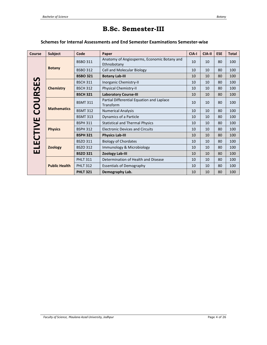# **B.Sc. Semester-III**

| Course                        | <b>Subject</b>       | Code            | Paper                                                      | CIA-I | <b>CIA-II</b> | <b>ESE</b> | <b>Total</b> |
|-------------------------------|----------------------|-----------------|------------------------------------------------------------|-------|---------------|------------|--------------|
|                               |                      | <b>BSBO 311</b> | Anatomy of Angiosperms, Economic Botany and<br>Ethnobotany | 10    | 10            | 80         | 100          |
|                               | <b>Botany</b>        | <b>BSBO 312</b> | <b>Cell and Molecular Biology</b>                          | 10    | 10            | 80         | 100          |
|                               |                      | <b>BSBO 321</b> | <b>Botany Lab-III</b>                                      | 10    | 10            | 80         | 100          |
| <b>RSES</b>                   |                      | <b>BSCH 311</b> | Inorganic Chemistry-II                                     | 10    | 10            | 80         | 100          |
|                               | <b>Chemistry</b>     | <b>BSCH 312</b> | Physical Chemistry-II                                      | 10    | 10            | 80         | 100          |
|                               |                      | <b>BSCH 321</b> | <b>Laboratory Course-III</b>                               | 10    | 10            | 80         | 100          |
| $\overline{\phantom{0}}$<br>8 | <b>Mathematics</b>   | <b>BSMT 311</b> | Partial Differential Equation and Laplace<br>Transform     | 10    | 10            | 80         | 100          |
|                               |                      | <b>BSMT 312</b> | <b>Numerical Analysis</b>                                  | 10    | 10            | 80         | 100          |
|                               |                      | <b>BSMT 313</b> | Dynamics of a Particle                                     | 10    | 10            | 80         | 100          |
|                               |                      | <b>BSPH 311</b> | <b>Statistical and Thermal Physics</b>                     | 10    | 10            | 80         | 100          |
|                               | <b>Physics</b>       | <b>BSPH 312</b> | <b>Electronic Devices and Circuits</b>                     | 10    | 10            | 80         | 100          |
| CTIVE                         |                      | <b>BSPH 321</b> | <b>Physics Lab-III</b>                                     | 10    | 10            | 80         | 100          |
| Ш                             |                      | <b>BSZO 311</b> | <b>Biology of Chordates</b>                                | 10    | 10            | 80         | 100          |
| 닖                             | Zoology              | <b>BSZO 312</b> | Immunology & Microbiology                                  | 10    | 10            | 80         | 100          |
|                               |                      | <b>BSZO 321</b> | <b>Zoology Lab-III</b>                                     | 10    | 10            | 80         | 100          |
|                               |                      | <b>PHLT 311</b> | Determination of Health and Disease                        | 10    | 10            | 80         | 100          |
|                               | <b>Public Health</b> | <b>PHLT 312</b> | <b>Essentials of Demography</b>                            | 10    | 10            | 80         | 100          |
|                               |                      | <b>PHLT 321</b> | Demography Lab.                                            | 10    | 10            | 80         | 100          |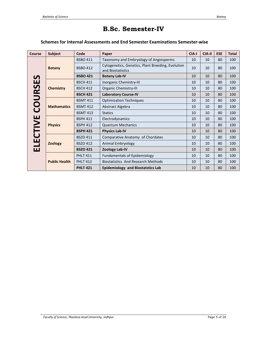**Public Health** 

# **B.Sc. Semester-IV**

#### **Course Subject Code Paper CIA-I CIA-II ESE Total** BSBO 411 Taxonomy and Embryology of Angiosperms 10 10 10 80 100 BSBO 412 Cytogenetics, Genetics, Plant Breeding, Evolution **Botany**  eytogenetics, denetics, Frant Breeding, Evolution 10 10 80 100 **BSBO 421 Botany Lab-IV 10 10 10 10 10 100 100** ELECTIVE COURSES **ELECTIVE COURSES** BSCH 411 | Inorganic Chemistry-III | 10 | 10 | 10 | 80 | 100 **Chemistry**  BSCH 412 | Organic Chemistry-III | 10 | 10 | 10 | 10 | 100 | 100 **BSCH 421 Laboratory Course-IV 10 10 10 10 10 100 100** BSMT 411 | Optimization Techniques | 10 | 10 | 80 | 100 **Mathematics**  BSMT 412 | Abstract Algebra 10 10 10 | 10 | 10 | 10 | 100 | 100 | 100 | 100 | 100 | 100 | 100 | 100 | 100 | 10 BSMT 413 Statics 10 10 10 10 10 10 100 BSPH 411 | Electrodynamics | 10 | 10 | 80 | 100 **Physics**  BSPH 412 | Quantum Mechanics | 10 | 10 | 10 | 80 | 100 **BSPH 421 Physics Lab-IV 10 10 10 10 10 100 100** BSZO 411 Comparative Anatomy of Chordates 10 10 10 10 100 100 **Zoology**  BSZO 412 | Animal Embryology | 10 | 10 | 10 | 10 | 100 | 100

**BSZO 421 | Zoology Lab-IV | 200 100 | 10 | 10 | 10 | 10** | 100 | 100 | 100 | 100 | 100 | 100 | 100 | 100 | 100 | 100 | 100 | 100 | 100 | 100 | 100 | 100 | 100 | 100 | 100 | 100 | 100 | 100 | 100 | 100 | 100 | 100 | 100 |

PHLT 411 | Fundamentals of Epidemiology | 10 | 10 | 80 | 100 PHLT 412 | Biostatistics And Research Methods | 10 | 10 | 80 | 100 **PHLT 421** Epidemiology and Biostatstics Lab 10 | 10 | 10 | 80 | 100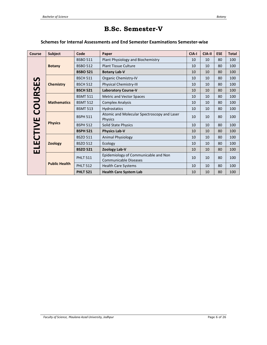## **B.Sc. Semester-V**

| Course        | Subject              | Code            | Paper                                                                | CIA-I | <b>CIA-II</b> | <b>ESE</b> | <b>Total</b> |
|---------------|----------------------|-----------------|----------------------------------------------------------------------|-------|---------------|------------|--------------|
|               |                      | <b>BSBO 511</b> | Plant Physiology and Biochemistry                                    | 10    | 10            | 80         | 100          |
|               | <b>Botany</b>        | <b>BSBO 512</b> | <b>Plant Tissue Culture</b>                                          | 10    | 10            | 80         | 100          |
|               |                      | <b>BSBO 521</b> | <b>Botany Lab-V</b>                                                  | 10    | 10            | 80         | 100          |
|               |                      | <b>BSCH 511</b> | Organic Chemistry-IV                                                 | 10    | 10            | 80         | 100          |
|               | <b>Chemistry</b>     | <b>BSCH 512</b> | Physical Chemistry-III                                               | 10    | 10            | 80         | 100          |
| <b>RSES</b>   |                      | <b>BSCH 521</b> | <b>Laboratory Course-V</b>                                           | 10    | 10            | 80         | 100          |
|               |                      | <b>BSMT 511</b> | Metric and Vector Spaces                                             | 10    | 10            | 80         | 100          |
| $\Rightarrow$ | <b>Mathematics</b>   | <b>BSMT 512</b> | <b>Complex Analysis</b>                                              | 10    | 10            | 80         | 100          |
| 8             |                      | <b>BSMT 513</b> | Hydrostatics                                                         | 10    | 10            | 80         | 100          |
|               | <b>Physics</b>       | <b>BSPH 511</b> | Atomic and Molecular Spectroscopy and Laser<br>Physics               | 10    | 10            | 80         | 100          |
|               |                      | <b>BSPH 512</b> | Solid State Physics                                                  | 10    | 10            | 80         | 100          |
| CTIVE         |                      | <b>BSPH 521</b> | <b>Physics Lab-V</b>                                                 | 10    | 10            | 80         | 100          |
|               |                      | <b>BSZO 511</b> | <b>Animal Physiology</b>                                             | 10    | 10            | 80         | 100          |
| Щ             | Zoology              | <b>BSZO 512</b> | Ecology                                                              | 10    | 10            | 80         | 100          |
|               |                      | <b>BSZO 521</b> | Zoology Lab-V                                                        | 10    | 10            | 80         | 100          |
|               |                      | <b>PHLT 511</b> | Epidemiology of Communicable and Non<br><b>Communicable Diseases</b> | 10    | 10            | 80         | 100          |
|               | <b>Public Health</b> | <b>PHLT 512</b> | <b>Health Care Systems</b>                                           | 10    | 10            | 80         | 100          |
|               |                      | <b>PHLT 521</b> | <b>Health Care System Lab</b>                                        | 10    | 10            | 80         | 100          |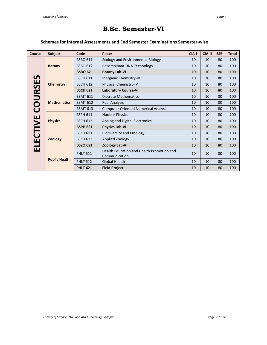## **B.Sc. Semester-VI**

| Course                   | <b>Subject</b>       | Code            | Paper                                                      | CIA-I | <b>CIA-II</b> | <b>ESE</b> | <b>Total</b> |
|--------------------------|----------------------|-----------------|------------------------------------------------------------|-------|---------------|------------|--------------|
|                          |                      | <b>BSBO 611</b> | Ecology and Environmental Biology                          | 10    | 10            | 80         | 100          |
|                          | <b>Botany</b>        | <b>BSBO 612</b> | Recombinant DNA Technology                                 | 10    | 10            | 80         | 100          |
|                          |                      | <b>BSBO 621</b> | <b>Botany Lab-VI</b>                                       | 10    | 10            | 80         | 100          |
|                          |                      | <b>BSCH 611</b> | Inorganic Chemistry-IV                                     | 10    | 10            | 80         | 100          |
|                          | <b>Chemistry</b>     | <b>BSCH 612</b> | Physical Chemistry-IV                                      | 10    | 10            | 80         | 100          |
| <b>RSES</b>              |                      | <b>BSCH 621</b> | <b>Laboratory Course-VI</b>                                | 10    | 10            | 80         | 100          |
| $\overline{\phantom{0}}$ | <b>Mathematics</b>   | <b>BSMT 611</b> | <b>Discrete Mathematics</b>                                | 10    | 10            | 80         | 100          |
| $\bullet$                |                      | <b>BSMT 612</b> | <b>Real Analysis</b>                                       | 10    | 10            | 80         | 100          |
| Ū                        |                      | <b>BSMT 613</b> | <b>Computer Oriented Numerical Analysis</b>                | 10    | 10            | 80         | 100          |
|                          | <b>Physics</b>       | <b>BSPH 611</b> | <b>Nuclear Physics</b>                                     | 10    | 10            | 80         | 100          |
|                          |                      | <b>BSPH 612</b> | Analog and Digital Electronics                             | 10    | 10            | 80         | 100          |
| CTIVE                    |                      | <b>BSPH 621</b> | <b>Physics Lab-VI</b>                                      | 10    | 10            | 80         | 100          |
|                          |                      | <b>BSZO 611</b> | <b>Biodiversity and Ethology</b>                           | 10    | 10            | 80         | 100          |
| Щ                        | <b>Zoology</b>       | <b>BSZO 612</b> | Applied Zoology                                            | 10    | 10            | 80         | 100          |
|                          |                      | <b>BSZO 621</b> | <b>Zoology Lab-VI</b>                                      | 10    | 10            | 80         | 100          |
| ш                        |                      | <b>PHLT 611</b> | Health Education and Health Promotion and<br>Communication | 10    | 10            | 80         | 100          |
|                          | <b>Public Health</b> | <b>PHLT 612</b> | <b>Global Health</b>                                       | 10    | 10            | 80         | 100          |
|                          |                      | <b>PHLT 621</b> | <b>Field Project</b>                                       | 10    | 10            | 80         | 100          |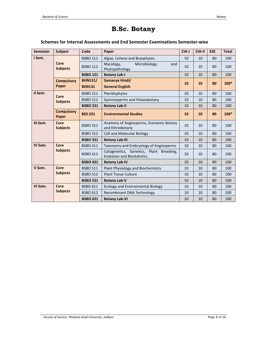# **B.Sc. Botany**

| <b>Semester</b> | <b>Subject</b>             | Code            | Paper                                                                         | CIA-I | <b>CIA-II</b> | <b>ESE</b> | <b>Total</b> |
|-----------------|----------------------------|-----------------|-------------------------------------------------------------------------------|-------|---------------|------------|--------------|
| I Sem.          |                            | <b>BSBO 111</b> | Algae, Lichens and Bryophytes                                                 | 10    | 10            | 80         | 100          |
|                 | Core<br><b>Subjects</b>    | <b>BSBO 112</b> | Mycology,<br>Microbiology<br>and<br>Phytopathology                            | 10    | 10            | 80         | 100          |
|                 |                            | <b>BSBO 121</b> | <b>Botany Lab-I</b>                                                           | 10    | 10            | 80         | 100          |
|                 | <b>Compulsory</b>          | <b>BHN131/</b>  | Samanya Hindi/                                                                | 10    | 10            | 80         | $100*$       |
|                 | Paper                      | <b>BEN131</b>   | <b>General English</b>                                                        |       |               |            |              |
| II Sem.         | Core                       | <b>BSBO 211</b> | Pteridophytes                                                                 | 10    | 10            | 80         | 100          |
|                 | <b>Subjects</b>            | <b>BSBO 212</b> | Gymnosperms and Palaeobotany                                                  | 10    | 10            | 80         | 100          |
|                 |                            | <b>BSBO 221</b> | <b>Botany Lab-II</b>                                                          | 10    | 10            | 80         | 100          |
|                 | <b>Compulsory</b><br>Paper | <b>BES 231</b>  | <b>Environmental Studies</b>                                                  | 10    | 10            | 80         | $100*$       |
| III Sem.        | Core<br><b>Subjects</b>    | <b>BSBO 311</b> | Anatomy of Angiosperms, Economic Botany<br>and Ethnobotany                    | 10    | 10            | 80         | 100          |
|                 |                            | <b>BSBO 312</b> | <b>Cell and Molecular Biology</b>                                             | 10    | 10            | 80         | 100          |
|                 |                            | <b>BSBO 321</b> | <b>Botany Lab-III</b>                                                         | 10    | 10            | 80         | 100          |
| IV Sem.         | Core                       | <b>BSBO 411</b> | Taxonomy and Embryology of Angiosperms                                        | 10    | 10            | 80         | 100          |
|                 | <b>Subjects</b>            | <b>BSBO 412</b> | Cytogenetics, Genetics, Plant Breeding,<br><b>Evolution and Biostatistics</b> | 10    | 10            | 80         | 100          |
|                 |                            | <b>BSBO 421</b> | <b>Botany Lab-IV</b>                                                          | 10    | 10            | 80         | 100          |
| V Sem.          | Core                       | <b>BSBO 511</b> | Plant Physiology and Biochemistry                                             | 10    | 10            | 80         | 100          |
|                 | <b>Subjects</b>            | <b>BSBO 512</b> | <b>Plant Tissue Culture</b>                                                   | 10    | 10            | 80         | 100          |
|                 |                            | <b>BSBO 521</b> | <b>Botany Lab-V</b>                                                           | 10    | 10            | 80         | 100          |
| VI Sem.         | Core                       | <b>BSBO 611</b> | <b>Ecology and Environmental Biology</b>                                      | 10    | 10            | 80         | 100          |
|                 | <b>Subjects</b>            | <b>BSBO 612</b> | Recombinant DNA Technology                                                    | 10    | 10            | 80         | 100          |
|                 |                            | <b>BSBO 621</b> | <b>Botany Lab-VI</b>                                                          | 10    | 10            | 80         | 100          |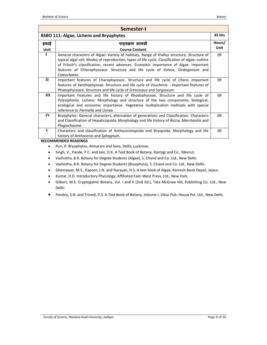| Semester-I  |                                                                                                                                                                                                                                                                                                                                                                                                  |        |  |  |  |
|-------------|--------------------------------------------------------------------------------------------------------------------------------------------------------------------------------------------------------------------------------------------------------------------------------------------------------------------------------------------------------------------------------------------------|--------|--|--|--|
|             | <b>BSBO 111: Algae, Lichens and Bryophytes</b>                                                                                                                                                                                                                                                                                                                                                   | 45 Hrs |  |  |  |
| इकाई        | पाठ्यक्रम सामग्री                                                                                                                                                                                                                                                                                                                                                                                | Hours/ |  |  |  |
| Unit        | <b>Course Content</b>                                                                                                                                                                                                                                                                                                                                                                            | Unit   |  |  |  |
| $\mathbf I$ | General characters of Algae: Variety of habitats, Range of thallus structure, Structure of<br>typical algal cell, Modes of reproduction, types of life cycle. Classification of algae: outline<br>of Fritsch's classification, recent advances. Economic importance of Algae. Important<br>features of Chlorophyceace. Structure and life cycle of <i>Volvox, Oedogonium</i> and<br>Coleochaete. | 09     |  |  |  |
| П           | Important features of Charophyceace. Structure and life cycle of Chara. Important<br>features of Xanthophyceae. Structure and life cycle of Vaucheria. Important features of<br>Phaeophyceace. Structure and life cycle of <i>Ectocarpus</i> and <i>Sargassum</i> .                                                                                                                              | 09     |  |  |  |
| Ш           | Important Features and life history of Rhodophyceae. Structure and life cycle of<br>Polysiphonia. Lichens: Morphology and structure of the two components; biological,<br>ecological and economic importance. Vegetative multiplication methods with special<br>reference to Parmelia and Usnea.                                                                                                 | 09     |  |  |  |
| $\bf{IV}$   | Bryophytes: General characters, alternation of generations and Classification. Characters<br>and Classification of Hepaticopsida. Morphology and life history of Riccia, Marchantia and<br>Plagiochasma.                                                                                                                                                                                         | 09     |  |  |  |
| V           | Characters and classification of Anthocerotopsida and Bryopsida. Morphology and life<br>history of Anthoceros and Sphagnum.                                                                                                                                                                                                                                                                      | 09     |  |  |  |

- Puri, P. Bryophytes, Atmaram and Sons, Delhi, Lucknow.
- Singh, V., Pande, P.C. and Jain, D.K. A Text Book of Botany, Rastogi and Co., Meerut.
- Vashistha, B.R. Botany for Degree Students (Algae), S. Chand and Co. Ltd., New Delhi.
- Vashistha, B.R. Botany for Degree Students (Bryophyta), S. Chand and Co. Ltd., New Delhi.
- Ghemawat, M.S., Kapoor, J.N. and Narayan, H.S. A text book of Algae, Ramesh Book Depot, Jaipur.
- Kumar, H.D. Introductory Phycology, Affiliated East–West Press, Ltd., New York.
- Gilbert, M.S. Cryptogamic Botany, Vol. I and II (2nd Ed.), Tata McGraw Hill, Publishing Co. Ltd., New Delhi.
- Pandey, S.N. and Trivedi, P.S. A Text Book of Botany, Volume I, Vikas Pub. House Pvt. Ltd., New Delhi.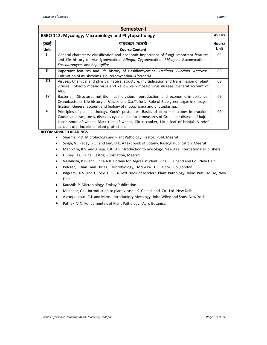| Semester-I   |                                                                                                                                                                                                                                                                                                                                |        |  |  |  |
|--------------|--------------------------------------------------------------------------------------------------------------------------------------------------------------------------------------------------------------------------------------------------------------------------------------------------------------------------------|--------|--|--|--|
|              | <b>BSBO 112: Mycology, Microbiology and Phytopathology</b>                                                                                                                                                                                                                                                                     | 45 Hrs |  |  |  |
| इकाई         | पाठयक्रम सामग्री                                                                                                                                                                                                                                                                                                               | Hours/ |  |  |  |
| <b>Unit</b>  | <b>Course Content</b>                                                                                                                                                                                                                                                                                                          | Unit   |  |  |  |
| L            | General characters, classification and economic importance of fungi. Important features<br>and life history of Mastigomycotina- Albugo, Zygomycotina- Rhizopus, Ascomycotina -<br>Saccharomyces and Aspergillus                                                                                                                | 09     |  |  |  |
| $\mathbf{I}$ | Important features and life history of Basidiomycotina- Ustilago, Puccinia, Agaricus.<br>Cultivation of mushrooms. Deuteromycotina-Alternaria.                                                                                                                                                                                 | 09     |  |  |  |
| Ш            | Viruses: Chemical and physical nature, structure, multiplication and transmission of plant<br>viruses. Tobacco mosaic virus and Yellow vein mosaic virus disease. General account of<br>AIDS.                                                                                                                                  | 09     |  |  |  |
| IV           | Bacteria - Structure, nutrition, cell division, reproduction and economic importance.<br>Cyanobacteria- Life history of <i>Nostoc</i> and <i>Oscillatoria</i> . Role of Blue green algae in nitrogen<br>fixation. General account and biology of mycoplasma and phytoplasma.                                                   | 09     |  |  |  |
| V            | Principles of plant pathology. Koch's postulates. Basics of plant – microbes interaction.<br>Causes and symptoms, diseases cycle and control measures of Green ear disease of bajra,<br>Loose smut of wheat, Black rust of wheat, Citrus canker, Little leaf of brinjal. A brief<br>account of principles of plant protection. | 09     |  |  |  |

- Sharma, P.D. Microbiology and Plant Pathology, Rastogi Publ. Meerut.
- Singh, V., Padey, P.C. and Jain, D.K. A text book of Botany. Rastogi Publication. Meerut
- Mehrotra, R.S. and Aneja, K.R.: An introduction to mycology, New Age International Publishers.
- Dubey, H.C. Fungi Rastogi Publication, Meerut.
- Vashihsta, B.R. and Sinha A.K. Botany for Degree student Fungi, S. Chand and Co., New Delhi.
- Pelczer, Chan and Krieg. Microbiology, McGraw Hill Book Co., London.
- Bilgrami, K.S. and Dubey, H.C. A Text Book of Modern Plant Pathology, Vikas Publ House, New Delhi.
- Kaushik, P. Microbiology, Emkay Publication.
- Madahar, C.L. Introduction to plant viruses. S. Chand and Co. Ltd. New Delhi.
- Alexopoulous, C.J. and Mims. Introductory Mycology. John Wiley and Sons, New York.
- Pathak, V.N. Fundamentals of Plant Pathology. Agro Botanica.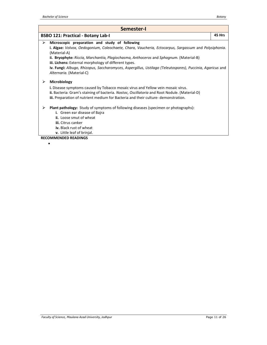| Semester-I                                                                                                                                                                                                                                                                                                                                                                                                                                                              |        |
|-------------------------------------------------------------------------------------------------------------------------------------------------------------------------------------------------------------------------------------------------------------------------------------------------------------------------------------------------------------------------------------------------------------------------------------------------------------------------|--------|
| <b>BSBO 121: Practical - Botany Lab-I</b>                                                                                                                                                                                                                                                                                                                                                                                                                               | 45 Hrs |
| Microscopic preparation and study of following<br>➤<br>i. Algae: Volvox, Oedogonium, Coleochaete, Chara, Vaucheria, Ectocarpus, Sargassum and Polysiphonia.<br>(Material-A)<br>ii. Bryophyte: Riccia, Marchantia, Plagiochasma, Anthoceros and Sphagnum. (Material-B)<br>iii. Lichens: External morphology of different types.<br>iv. Fungi: Albugo, Rhizopus, Saccharomyces, Aspergillus, Ustilago (Teleutospores), Puccinia, Agaricus and<br>Alternaria. (Material-C) |        |
| Microbiology<br>⋗<br><b>i.</b> Disease symptoms caused by Tobacco mosaic virus and Yellow vein mosaic virus.<br>ii. Bacteria: Gram's staining of bacteria. Nostoc, Oscillatoria and Root Nodule. (Material-D)<br>iii. Preparation of nutrient medium for Bacteria and their culture- demonstration.                                                                                                                                                                     |        |
| <b>Plant pathology:</b> Study of symptoms of following diseases (specimen or photographs):<br>⋗<br>i. Green ear disease of Bajra<br>ii. Loose smut of wheat<br>iii. Citrus canker<br>iv. Black rust of wheat<br>v. Little leaf of brinjal.                                                                                                                                                                                                                              |        |
| <b>RECOMMENDED READINGS</b>                                                                                                                                                                                                                                                                                                                                                                                                                                             |        |
|                                                                                                                                                                                                                                                                                                                                                                                                                                                                         |        |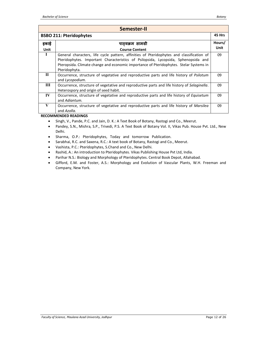| Semester-II |                                                                                                                                                                                                                                                                                            |        |  |  |  |
|-------------|--------------------------------------------------------------------------------------------------------------------------------------------------------------------------------------------------------------------------------------------------------------------------------------------|--------|--|--|--|
|             | <b>BSBO 211: Pteridophytes</b>                                                                                                                                                                                                                                                             | 45 Hrs |  |  |  |
| डकाडे       | पाठयक्रम सामग्री                                                                                                                                                                                                                                                                           | Hours/ |  |  |  |
| Unit        | <b>Course Content</b>                                                                                                                                                                                                                                                                      | Unit   |  |  |  |
| L           | General characters, life cycle pattern, affinities of Pteridophytes and classification of<br>Pteridophytes. Important Characteristics of Psilopsida, Lycopsida, Sphenopsida and<br>Pteropsida. Climate change and economic importance of Pteridophytes. Stelar Systems in<br>Pteridophyta. | 09     |  |  |  |
| П           | Occurrence, structure of vegetative and reproductive parts and life history of <i>Psilotum</i><br>and Lycopodium.                                                                                                                                                                          | 09     |  |  |  |
| Ш           | Occurrence, structure of vegetative and reproductive parts and life history of Selaginella.<br>Heterospory and origin of seed habit.                                                                                                                                                       | 09     |  |  |  |
| IV          | Occurrence, structure of vegetative and reproductive parts and life history of <i>Equisetum</i><br>and Adiantum.                                                                                                                                                                           | 09     |  |  |  |
| V           | Occurrence, structure of vegetative and reproductive parts and life history of Marsilea<br>and Azolla.                                                                                                                                                                                     | 09     |  |  |  |

- Singh, V., Pande, P.C. and Jain, D. K.: A Text Book of Botany, Rastogi and Co., Meerut.
- Pandey, S.N., Mishra, S.P., Trivedi, P.S. A Text Book of Botany Vol. II, Vikas Pub. House Pvt. Ltd., New Delhi.
- Sharma, O.P.: Pteridophytes, Today and tomorrow Publication.
- Sarabhai, R.C. and Saxena, R.C.: A text book of Botany, Rastogi and Co., Meerut.
- Vashista, P.C.: Pteridophytes, S.Chand and Co., New Delhi.
- Rashid, A.: An introduction to Pteridophytes. Vikas Publishing House Pvt Ltd, India.
- Parihar N.S.: Biology and Morphology of Pteridophytes. Central Book Depot, Allahabad.
- Gifford, E.M. and Foster, A.S.: Morphology and Evolution of Vascular Plants, W.H. Freeman and Company, New York.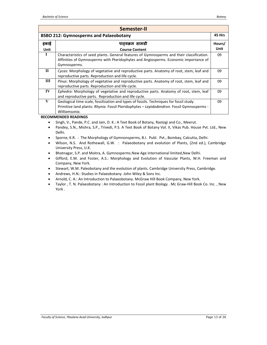| Semester-II  |                                                                                                                                                                                                       |        |  |  |  |  |
|--------------|-------------------------------------------------------------------------------------------------------------------------------------------------------------------------------------------------------|--------|--|--|--|--|
|              | <b>BSBO 212: Gymnosperms and Palaeobotany</b>                                                                                                                                                         | 45 Hrs |  |  |  |  |
| डकाडे        | पाठयक्रम सामग्री                                                                                                                                                                                      | Hours/ |  |  |  |  |
| Unit         | <b>Course Content</b>                                                                                                                                                                                 | Unit   |  |  |  |  |
| L            | Characteristics of seed plants. General features of Gymnosperms and their classification.<br>Affinities of Gymnosperms with Pteridophytes and Angiosperms. Economic importance of<br>Gymnosperms.     | 09     |  |  |  |  |
| $\mathbf{H}$ | Cycas: Morphology of vegetative and reproductive parts. Anatomy of root, stem, leaf and<br>reproductive parts. Reproduction and life cycle.                                                           | 09     |  |  |  |  |
| Ш            | Pinus: Morphology of vegetative and reproductive parts. Anatomy of root, stem, leaf and<br>reproductive parts. Reproduction and life cycle.                                                           | 09     |  |  |  |  |
| IV           | Ephedra: Morphology of vegetative and reproductive parts. Anatomy of root, stem, leaf<br>and reproductive parts. Reproduction and life cycle.                                                         | 09     |  |  |  |  |
| V            | Geological time scale, fossilization and types of fossils. Techniques for fossil study.<br>Primitive land plants: Rhynia. Fossil Pteridophytes - Lepidodendron. Fossil Gymnosperms -<br>Williamsonia. | 09     |  |  |  |  |

- Singh, V., Pande, P.C. and Jain, D. K.: A Text Book of Botany, Rastogi and Co., Meerut.
- Pandey, S.N., Mishra, S.P., Trivedi, P.S. A Text Book of Botany Vol. II, Vikas Pub. House Pvt. Ltd., New Delhi.
- Sporne, K.R. : The Morphology of Gymnonsperms, B.I. Publ. Pvt., Bombay, Calcutta, Delhi.
- Wilson, N.S. And Rothewall, G.W. : Palaeobotany and evolution of Plants, (2nd ed.), Cambridge University Press, U.K.
- Bhatnagar, S.P. and Moitra, A. Gymnosperms.New Age international limited,New Delhi.
- Gifford, E.M. and Foster, A.S.: Morphology and Evolution of Vascular Plants, W.H. Freeman and Company, New York.
- Stewart, W.M. Paleobotany and the evolution of plants. Cambridge University Press, Cambridge.
- Andrews, H.N.: Studies in Palaeobotany. John Wiley & Sons Inc.
- Arnold, C. A.: An Introduction to Palaeobotany. McGraw Hill Book Company, New York.
- Taylor , T. N. Palaeobotany : An Introduction to Fossil plant Biology . Mc Graw-Hill Book Co. Inc. , New York .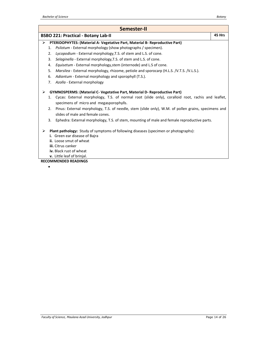| Semester-II                                                                                                                                                                                                                                                                                                                                                                                                                                                                                       |        |  |  |  |  |
|---------------------------------------------------------------------------------------------------------------------------------------------------------------------------------------------------------------------------------------------------------------------------------------------------------------------------------------------------------------------------------------------------------------------------------------------------------------------------------------------------|--------|--|--|--|--|
| <b>BSBO 221: Practical - Botany Lab-II</b>                                                                                                                                                                                                                                                                                                                                                                                                                                                        | 45 Hrs |  |  |  |  |
| PTERIDOPHYTES: (Material A- Vegetative Part, Material B- Reproductive Part)<br>≻                                                                                                                                                                                                                                                                                                                                                                                                                  |        |  |  |  |  |
| <i>Psilotum</i> - External morphology (show photographs / specimen).<br>1.                                                                                                                                                                                                                                                                                                                                                                                                                        |        |  |  |  |  |
| Lycopodium - External morphology, T.S. of stem and L.S. of cone.<br>2.                                                                                                                                                                                                                                                                                                                                                                                                                            |        |  |  |  |  |
| 3.<br>Selaginella - External morphology, T.S. of stem and L.S. of cone.                                                                                                                                                                                                                                                                                                                                                                                                                           |        |  |  |  |  |
| Equisetum - External morphology, stem (internode) and L.S of cone.<br>4.                                                                                                                                                                                                                                                                                                                                                                                                                          |        |  |  |  |  |
| 5.<br>Marsilea - External morphology, rhizome, petiole and sporocarp (H.L.S. /V.T.S. /V.L.S.).                                                                                                                                                                                                                                                                                                                                                                                                    |        |  |  |  |  |
| 6.<br>Adiantum - External morphology and sporophyll (T.S.).                                                                                                                                                                                                                                                                                                                                                                                                                                       |        |  |  |  |  |
| Azolla - External morphology<br>7.                                                                                                                                                                                                                                                                                                                                                                                                                                                                |        |  |  |  |  |
| <b>GYMNOSPERMS: (Material C- Vegetative Part, Material D- Reproductive Part)</b><br>⋗<br>Cycas: External morphology, T.S. of normal root (slide only), coralloid root, rachis and leaflet,<br>1.<br>specimens of micro and megasporophylls.<br>Pinus: External morphology, T.S. of needle, stem (slide only), W.M. of pollen grains, specimens and<br>2.<br>slides of male and female cones.<br>3.<br>Ephedra: External morphology, T.S. of stem, mounting of male and female reproductive parts. |        |  |  |  |  |
| <b>Plant pathology:</b> Study of symptoms of following diseases (specimen or photographs):<br>≻                                                                                                                                                                                                                                                                                                                                                                                                   |        |  |  |  |  |
| i. Green ear disease of Baira                                                                                                                                                                                                                                                                                                                                                                                                                                                                     |        |  |  |  |  |
| ii. Loose smut of wheat                                                                                                                                                                                                                                                                                                                                                                                                                                                                           |        |  |  |  |  |
| iii. Citrus canker                                                                                                                                                                                                                                                                                                                                                                                                                                                                                |        |  |  |  |  |
| iv. Black rust of wheat                                                                                                                                                                                                                                                                                                                                                                                                                                                                           |        |  |  |  |  |
| v. Little leaf of brinjal.                                                                                                                                                                                                                                                                                                                                                                                                                                                                        |        |  |  |  |  |
| <b>RECOMMENDED READINGS</b>                                                                                                                                                                                                                                                                                                                                                                                                                                                                       |        |  |  |  |  |
| ٠                                                                                                                                                                                                                                                                                                                                                                                                                                                                                                 |        |  |  |  |  |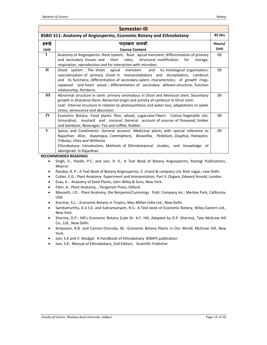| Semester-III |                                                                                                                                                                                                                                                                                                                                                                              |             |
|--------------|------------------------------------------------------------------------------------------------------------------------------------------------------------------------------------------------------------------------------------------------------------------------------------------------------------------------------------------------------------------------------|-------------|
|              | BSBO 311: Anatomy of Angiosperms, Economic Botany and Ethnobotany                                                                                                                                                                                                                                                                                                            | 45 Hrs      |
| इकाई         | पाठ्यक्रम सामग्री                                                                                                                                                                                                                                                                                                                                                            | Hours/      |
| Unit         | <b>Course Content</b>                                                                                                                                                                                                                                                                                                                                                        | <b>Unit</b> |
| $\bf{I}$     | Anatomy of Angiosperms: Root system; Root apical meristem; differentiation of primary                                                                                                                                                                                                                                                                                        | 09          |
|              | and secondary tissues and their roles; structural modification<br>for<br>storage,<br>respiration, reproduction and for interaction with microbes.                                                                                                                                                                                                                            |             |
| $\mathbf{H}$ | Shoot system: The shoot apical<br>meristem<br>its histological organization;<br>and<br>vascularization of primary shoot in monocotyledons and dicotyledons; cambium<br>and its functions; differentiation of secondary xylem, characteristics of growth rings,<br>sapwood and heart wood; differentiation of secondary phloem-structure, function<br>relationship; Periderm. | 09          |
| Ш            | Abnormal structure in stem: primary anomalous in Dicot and Monocot stem; Secondary<br>growth in Dracaena Stem; Abnormal origin and activity of cambium in Dicot stem.<br>Leaf: Internal structure in relation to photosynthesis and water loss; adaptations to water<br>stress; senescence and abscission.                                                                   | 09          |
| IV           | Economic Botany: Food plants: Rice, wheat, sugarcane. Fibers: Cotton. Vegetable oils:<br>Groundnut, mustard and coconut. General account of sources of firewood, timber<br>and bamboos. Beverages: Tea and coffee; Rubber.                                                                                                                                                   | 09          |
| V            | Spices and Condiments: General account. Medicinal plants with special reference to<br>Rajasthan: Aloe, Asparagus, Commiphora, Boswellia, Pedalium, Zizyphus, Haloxylon,<br>Tribulus, Vitex and Withania.<br>Ethnobotany: Introduction, Methods of Ethnobotanical studies, and knowledge of<br>aboriginals in Rajasthan.                                                      | 09          |
|              | <b>RECOMMENDED READINGS</b>                                                                                                                                                                                                                                                                                                                                                  |             |

• Singh, V., Pande, P.C. and Jain, D. K.: A Text Book of Botany Angiosperms, Rastogi Publications, Meerut.

- Pandey, B. P.: A Text Book of Botany Angiosperms, S. chand & company Ltd. Ram nagar, new Delhi.
- Cutter, E.G.: Plant Anatomy: Experiment and Interpretation, Part II. Organs, Edward Arnold, London.
- Esau, K.: Anatomy of Seed Plants, John Wiley & Sons, New York.
- Fahn, A.: Plant Anatomy, , Pergamon Press, Oxford.
- Mauseth, J.D.: Plant Anatomy, the Benjamin/Cummings Publ. Company Inc., Menloe Park, California, USA.
- Kocchar, S.L.: Economic Botany in Tropics, Mac-Millan India Ltd., New Delhi.
- Sambamurthy, A.V.S.S. and Subramanyam, N.S.: A Text book of Economic Botany, Wiley Eastern Ltd., New York.
- Sharma, O.P.: Hill's Economic Botany (Late Dr. A.F. Hill, Adapted by O.P. Sharma), Tata McGraw Hill Co., Ltd., New Delhi.
- Simposon, B.B. and Conner-Ororzaly, M.: Economic Botany Plants in Our World, McGraw Hill, New York.
- Jain, S.K and V. Mudgal: A Handbook of Ethnobotany BSMPS publication
- Jain, S.K: Manual of Ethnobotany, 2nd Edition, Scientific Publisher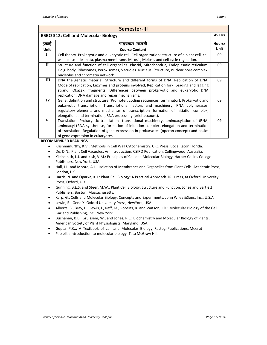| Semester-III                |                                                                                                                                                                                                                                                                                                                                       |        |
|-----------------------------|---------------------------------------------------------------------------------------------------------------------------------------------------------------------------------------------------------------------------------------------------------------------------------------------------------------------------------------|--------|
|                             | <b>BSBO 312: Cell and Molecular Biology</b>                                                                                                                                                                                                                                                                                           | 45 Hrs |
| इकाई                        | पाठ्यक्रम सामग्री                                                                                                                                                                                                                                                                                                                     | Hours/ |
| <b>Unit</b>                 | <b>Course Content</b>                                                                                                                                                                                                                                                                                                                 | Unit   |
| 1                           | Cell theory. Prokaryotic and eukaryotic cell. Cell organization: structure of a plant cell, cell<br>wall, plasmodesmata, plasma membrane. Mitosis, Meiosis and cell cycle regulation.                                                                                                                                                 | 09     |
| $\overline{\mathbf{u}}$     | Structure and function of cell organelles: Plastid, Mitochondria, Endoplasmic reticulum,<br>Golgi body, Ribosomes, Peroxisomes, Vacuoles. Nucleus: Structure, nuclear pore complex,<br>nucleolus and chromatin network.                                                                                                               | 09     |
| Ш                           | DNA the genetic material: Structure and different forms of DNA, Replication of DNA:<br>Mode of replication, Enzymes and proteins involved, Replication fork, Leading and lagging<br>strand, Okazaki fragments. Differences between prokaryotic and eukaryotic DNA<br>replication. DNA damage and repair mechanisms.                   | 09     |
| $\bf{IV}$                   | Gene: definition and structure (Promoter, coding sequences, terminator). Prokaryotic and<br>eukaryotic transcription: Transcriptional factors and machinery, RNA polymerases,<br>regulatory elements and mechanism of transcription -formation of initiation complex,<br>elongation, and termination, RNA processing (brief account). | 09     |
| V                           | Translation: Prokaryotic translation- translational machinery, aminoacylation of tRNA,<br>aminoacyl tRNA synthetase, formation of initiation complex, elongation and termination<br>of translation. Regulation of gene expression in prokaryotes (operon concept) and basics<br>of gene expression in eukaryotes.                     | 09     |
| <b>RECOMMENDED READINGS</b> |                                                                                                                                                                                                                                                                                                                                       |        |
| ٠                           | Krishnamurthy, K.V.: Methods in Cell Wall Cytochemistry. CRC Press, Boca Raton, Florida.                                                                                                                                                                                                                                              |        |
| ٠                           | De, D.N.: Plant Cell Vacuoles: An Introduction. CSIRO Publication, Collingwood, Australia.                                                                                                                                                                                                                                            |        |
| ٠                           | Kleinsmith, L.J. and Kish, V.M.: Principles of Cell and Molecular Biology. Harper Collins College                                                                                                                                                                                                                                     |        |

- Publishers, New York, USA. • Hall, J.L. and Moore, A.L.: Isolation of Membranes and Organelles from Plant Cells. Academic Press,
- London, UK. • Harris, N. and Oparka, K.J.: Plant Cell Biology: A Practical Approach. IRL Press, at Oxford University Press, Oxford, U.K.
- Gunning, B.E.S. and Steer, M.W.: Plant Cell Biology: Structure and Function. Jones and Bartlett Publishers. Boston, Massachusetts.
- Karp, G.: Cells and Molecular Biology: Concepts and Experiments. John Wiley &Sons, Inc., U.S.A.
- Lewin, B.: Gene X. Oxford University Press, NewYork, USA.
- Alberts, B., Bray, D., Lewis, J., Raff, M., Roberts, K. and Watson, J.D.: Molecular Biology of the Cell. Garland Publishing, lnc., New York.
- Buchanan, B.B., Gruissem, W., and Jones, R.L.: Biochemistry and Molecular Biology of Plants, American Society of Plant Physiologists, Maryland, USA.
- Gupta P.K..: A Textbook of cell and Molecular Biology, Rastogi Publications, Meerut
- Paolella: Introduction to molecular biology. Tata McGraw Hill.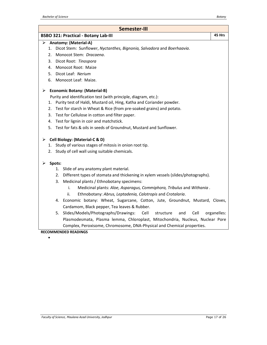| Semester-III                                                                           |                                         |  |
|----------------------------------------------------------------------------------------|-----------------------------------------|--|
| <b>BSBO 321: Practical - Botany Lab-III</b>                                            | 45 Hrs                                  |  |
| Anatomy: (Material-A)<br>⋗                                                             |                                         |  |
| Dicot Stem: Sunflower, Nyctanthes, Bignonia, Salvadora and Boerhaavia.<br>1.           |                                         |  |
| 2.<br>Monocot Stem: Dracaena.                                                          |                                         |  |
| 3.<br>Dicot Root: Tinospora                                                            |                                         |  |
| 4.<br>Monocot Root: Maize                                                              |                                         |  |
| 5.<br>Dicot Leaf: Nerium                                                               |                                         |  |
| Monocot Leaf: Maize.<br>6.                                                             |                                         |  |
| <b>Economic Botany: (Material-B)</b>                                                   |                                         |  |
| Purity and identification test (with principle, diagram, etc.):                        |                                         |  |
| Purity test of Haldi, Mustard oil, Hing, Katha and Coriander powder.<br>1.             |                                         |  |
| Test for starch in Wheat & Rice (from pre-soaked grains) and potato.<br>2.             |                                         |  |
| Test for Cellulose in cotton and filter paper.<br>3.                                   |                                         |  |
| Test for lignin in coir and matchstick.<br>4.                                          |                                         |  |
| Test for fats & oils in seeds of Groundnut, Mustard and Sunflower.<br>5.               |                                         |  |
| Cell Biology: (Material-C & D)                                                         |                                         |  |
| Study of various stages of mitosis in onion root tip.<br>1.                            |                                         |  |
| Study of cell wall using suitable chemicals.<br>2.                                     |                                         |  |
| Spots:                                                                                 |                                         |  |
| 1. Slide of any anatomy plant material.                                                |                                         |  |
| Different types of stomata and thickening in xylem vessels (slides/photographs).<br>2. |                                         |  |
| 3.<br>Medicinal plants / Ethnobotany specimens:                                        |                                         |  |
| i.<br>Medicinal plants: Aloe, Asparagus, Commiphora, Tribulus and Withania.            |                                         |  |
| ii.<br>Ethnobotany: Abrus, Leptadenia, Calotropis and Crotalaria.                      |                                         |  |
| 4. Economic botany: Wheat, Sugarcane, Cotton, Jute, Groundnut, Mustard, Cloves,        |                                         |  |
| Cardamom, Black pepper, Tea leaves & Rubber.                                           |                                         |  |
| 5. Slides/Models/Photographs/Drawings:<br>Cell                                         | Cell<br>organelles:<br>structure<br>and |  |
| Plasmodesmata, Plasma lemma, Chloroplast, Mitochondria, Nucleus, Nuclear Pore          |                                         |  |
| Complex, Peroxisome, Chromosome, DNA-Physical and Chemical properties.                 |                                         |  |
| <b>RECOMMENDED READINGS</b>                                                            |                                         |  |
|                                                                                        |                                         |  |
|                                                                                        |                                         |  |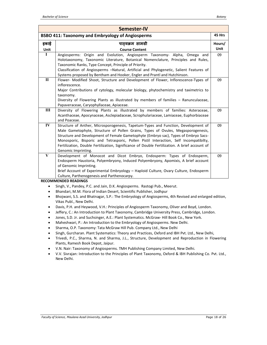| Semester-IV                                                                                                                                                                                                                                                                                                                                                                                                                                                                                 |             |  |
|---------------------------------------------------------------------------------------------------------------------------------------------------------------------------------------------------------------------------------------------------------------------------------------------------------------------------------------------------------------------------------------------------------------------------------------------------------------------------------------------|-------------|--|
| <b>BSBO 411: Taxonomy and Embryology of Angiosperms</b>                                                                                                                                                                                                                                                                                                                                                                                                                                     | 45 Hrs      |  |
| इकाई<br>पाठयक्रम सामग्री                                                                                                                                                                                                                                                                                                                                                                                                                                                                    | Hours/      |  |
| Unit<br><b>Course Content</b>                                                                                                                                                                                                                                                                                                                                                                                                                                                               | <b>Unit</b> |  |
| $\mathbf{I}$<br>Angiosperms: Origin and Evolution, Angiosperm Taxonomy- Alpha, Omega and<br>Holotaxonomy, Taxonomic Literature, Botanical Nomenclature, Principles and Rules,<br>Taxonomic Ranks, Type Concept, Principle of Priority.<br>Classification of Angiosperms -Natural, Artificial and Phylogenetic, Salient Features of<br>Systems proposed by Bentham and Hooker, Engler and Prantl and Hutchinson.                                                                             | 09          |  |
| $\mathbf{I}$<br>Flower- Modified Shoot, Structure and Development of Flower, Inflorescence-Types of<br>inflorescence.<br>Major Contributions of cytology, molecular biology, phytochemistry and taximetrics to<br>taxonomy.<br>Diversity of Flowering Plants as illustrated by members of families - Ranunculaceae,<br>Papaveraceae, Caryophyllaceae, Apiaceae.                                                                                                                             | 09          |  |
| III<br>Diversity of Flowering Plants as illustrated by members of families: Asteraceae,<br>Acanthaceae, Apocynaceae, Asclepiadaceae, Scrophulariaceae, Lamiaceae, Euphorbiaceae<br>and Poaceae.                                                                                                                                                                                                                                                                                             | 09          |  |
| $\bf{IV}$<br>Structure of Anther, Microsporogenesis, Tapetum-Types and Function, Development of<br>Male Gametophyte, Structure of Pollen Grains, Types of Ovules, Megasporogenesis,<br>Structure and Development of Female Gametophyte (Embryo sac), Types of Embryo Sacs-<br>Monosporic, Bisporic and Tetrasporic, Pollen Pistil Interaction, Self Incompatibilty,<br>Fertilization, Double Fertilization, Significance of Double Fertilization. A brief account of<br>Genomic Imprinting. | 09          |  |
| $\bf{V}$<br>Development of Monocot and Dicot Embryo, Endosperm: Types of Endosperm,<br>Endosperm Haustoria, Polyembryony, Induced Polyembryony, Apomixis, A brief account<br>of Genomic Imprinting.<br>Brief Account of Experimental Embryology - Haploid Culture, Ovary Culture, Endosperm<br>Culture, Parthenogenesis and Parthenocarpy.<br><b>RECOMMENDED READINGS</b>                                                                                                                   | 09          |  |

- Singh, V., Pandey, P.C. and Jain, D.K. Angiosperms. Rastogi Pub., Meerut.
- Bhandari, M.M. Flora of Indian Desert, Scientific Publisher, Jodhpur
- Bhojwani, S.S. and Bhatnagar, S.P.: The Embryology of Angiosperms, 4th Revised and enlarged edition, Vikas Publ., New Delhi.
- Davis, P.H. and Heywood, V.H.: Principles of Angiosperm Taxonomy, Oliver and Boyd, London.
- Jeffery, C.: An Introduction to Plant Taxonomy, Cambridge University Press, Cambridge, London.
- Jones, S.D. Jr. and Suchsinger, A.E.: Plant Systematics. McGraw- Hill Book Co., New York.
- Maheshwari, P.: An Introduction to the Embryology of Angiosperms. New Delhi.
- Sharma, O.P. Taxonomy: Tata McGraw Hill Pub. Company Ltd., New Delhi
- Singh, Gurcharan. Plant Systematics: Theory and Practices, Oxford and IBH Pvt. Ltd., New Delhi,
- Trivedi, P.C., Sharma, N. and Sharma, J.L., Structure, Development and Reproduction in Flowering Plants, Ramesh Book Depot, Jaipur.
- V.N. Nair: Taxonomy of Angiosperms. TMH Publishing Company Limited, New Delhi.
- V.V. Sivrajan: Introduction to the Principles of Plant Taxonomy, Oxford & IBH Publishing Co. Pvt. Ltd., New Delhi.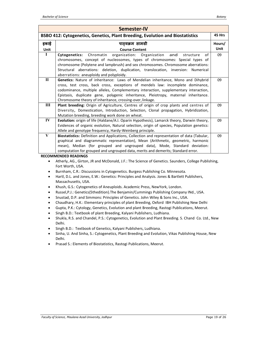| Semester-IV                                                                             |                                                                                                                                                                                                                                                                                                                                                                                                                  |        |
|-----------------------------------------------------------------------------------------|------------------------------------------------------------------------------------------------------------------------------------------------------------------------------------------------------------------------------------------------------------------------------------------------------------------------------------------------------------------------------------------------------------------|--------|
| 45 Hrs<br>BSBO 412: Cytogenetics, Genetics, Plant Breeding, Evolution and Biostatistics |                                                                                                                                                                                                                                                                                                                                                                                                                  |        |
| इकाई                                                                                    | पाठ्यक्रम सामग्री                                                                                                                                                                                                                                                                                                                                                                                                | Hours/ |
| Unit                                                                                    | <b>Course Content</b>                                                                                                                                                                                                                                                                                                                                                                                            | Unit   |
| L                                                                                       | Chromatin<br>organization:<br>Organization<br>and<br><b>Cytogenetics:</b><br>of<br>structure<br>chromosomes, concept of nucleosomes, types of chromosomes: Special types of<br>chromosome (Polytene and lampbrush) and sex chromosomes. Chromosome aberrations:<br>Structural aberrations: deletion, duplication, translocation, inversion: Numerical<br>aberrations: aneuploidy and polyploidy.                 | 09     |
| $\mathbf H$                                                                             | Genetics: Nature of inheritance: Laws of Mendelian inheritance, Mono and Dihybrid<br>cross, test cross, back cross, exceptions of mendels law: incomplete dominance,<br>codominance, multiple alleles, Complementary interaction, supplementary interaction,<br>Epistasis, duplicate gene, polygenic inheritance, Pleiotropy, maternal inheritance.<br>Chromosome theory of inheritance, crossing-over, linkage. | 09     |
| $\mathbf{III}$                                                                          | Plant breeding: Origin of Agriculture, Centres of origin of crop plants and centres of<br>Diversity, Domestication, Introduction, Selection, Clonal propagation, Hybridization,<br>Mutation breeding, breeding work done on wheat.                                                                                                                                                                               | 09     |
| $\overline{IV}$                                                                         | Evolution: origin of life (Haldane/A.I. Oparin Hypothesis), Lamarck theory, Darwin theory,<br>Evidences of organic evolution, Natural selection, origin of species, Population genetics:<br>Allele and genotype frequency, Hardy-Weinberg principle.                                                                                                                                                             | 09     |
| $\overline{\mathbf{V}}$                                                                 | Biostatistics: Definition and Applications, Collection and representation of data (Tabular,<br>graphical and diagrammatic representation), Mean (Arithmetic, geometric, harmonic<br>mean), Median (for grouped and ungrouped data), Mode, Standard deviation:<br>computation for grouped and ungrouped data, merits and demerits; Standard error.                                                                | 09     |
| ٠                                                                                       | <b>RECOMMENDED READINGS</b><br>Atherly, AG., Girton, JR and McDonald, J.F.: The Science of Genetics. Saunders, College Publishing,                                                                                                                                                                                                                                                                               |        |
| ٠<br>$\bullet$                                                                          | Fort Worth, USA.<br>Burnham, C.R.: Discussions in Cytogenetics. Burgess Publishing Co. Minnesota.<br>Hartl, D.L. and Jones, E.W.: Genetics: Principles and Analysis. Jones & Bartlett Publishers,<br>Massachusetts, USA.                                                                                                                                                                                         |        |
| $\bullet$<br>$\bullet$<br>$\bullet$<br>٠                                                | Khush, G.S.: Cytogenetics of Aneuploids. Academic Press, NewYork, London.<br>Russel, P.J.: Genetics(5thedition). The Benjamin/Cummings Publishing Company INd., USA.<br>Snustad, D.P. and Simmons: Principles of Genetics. John Wiley & Sons Inc., USA.<br>Chaudhary, H.K.: Elementary principles of plant Breeding, Oxford IBH Publishing New Delhi                                                             |        |
| $\bullet$<br>$\bullet$<br>$\bullet$                                                     | Gupta, P.K.: Cytology, Genetics, Evolution and plant Breeding, Rastogi Publications, Meerut.<br>Singh B.D.: Textbook of plant Breeding, Kalyani Publishers, Ludhiana.<br>Shukla, R.S. and Chandel, P.S.: Cytogenetics, Evolution and Plant Breeding. S. Chand Co. Ltd., New<br>Delhi.                                                                                                                            |        |
| $\bullet$                                                                               | Singh B.D.: Textbook of Genetics, Kalyani Publishers, Ludhiana.                                                                                                                                                                                                                                                                                                                                                  |        |

- Sinha, U. And Sinha, S.: Cytogenetics, Plant Breeding and Evolution, Vikas Publishing House, New Delhi.
- Prasad S.: Elements of Biostatistics, Rastogi Publications, Meerut.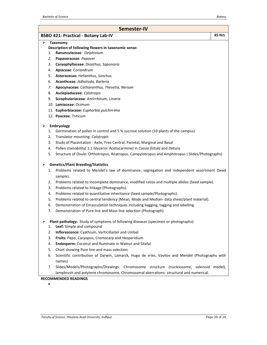| Semester-IV                                                                                                                 |  |  |
|-----------------------------------------------------------------------------------------------------------------------------|--|--|
| 45 Hrs<br><b>BSBO 421: Practical - Botany Lab-IV</b>                                                                        |  |  |
| ⋗<br><b>Taxonomy</b>                                                                                                        |  |  |
| Description of following flowers in taxonomic sense:                                                                        |  |  |
| Ranunculaceae: Delphinium<br>1.                                                                                             |  |  |
| Papaveraceae: Papaver<br>2.                                                                                                 |  |  |
| Caryophyllaceae: Dianthus, Saponaria<br>3.                                                                                  |  |  |
| 4.<br>Apiaceae: Coriandrum                                                                                                  |  |  |
| Asteracecae: Helianthus, Sonchus<br>5.                                                                                      |  |  |
| Acanthceae: Adhatoda, Barleria<br>6.                                                                                        |  |  |
| Apocynaceae: Catharanthus, Thevetia, Nerium<br>7.                                                                           |  |  |
| Asclepiadaceae: Calotropis<br>8.                                                                                            |  |  |
| 9.<br>Scrophulariaceae: Antirrhinum, Linaria                                                                                |  |  |
| 10. Lamiaceae: Ocimum                                                                                                       |  |  |
| 11. Euphorbiaceae: Euphorbia pulchirrima                                                                                    |  |  |
| 12. Poaceae: Triticum                                                                                                       |  |  |
| <b>Embryology</b><br>⋗                                                                                                      |  |  |
| Germination of pollen in control and 5 % sucrose solution (10 plants of the campus)<br>1.                                   |  |  |
| Translator mounting: Calotropis<br>2.                                                                                       |  |  |
| Study of Placentation : Axile, Free Central, Parietal, Marginal and Basal<br>3.                                             |  |  |
| Pollen stainability( 1:1 Glycerin: Acetocarmine) in Cassia fistula and Datura<br>4.                                         |  |  |
| 5.<br>Structure of Ovule: Orthotropus, Anatropus, Campylotropus and Amphitropus (Slides/Photographs)                        |  |  |
| <b>Genetics/Plant Breeding/Statistics</b>                                                                                   |  |  |
| Problems related to Mendel's law of dominance, segregation and independent assortment (Seed<br>1.<br>sample).               |  |  |
| Problems related to Incomplete dominance, modified ratios and multiple alleles (Seed sample).<br>2.                         |  |  |
| Problems related to linkage (Photographs).<br>3.                                                                            |  |  |
| Problems related to quantitative inheritance (Seed sample/Photographs).<br>4.                                               |  |  |
| Problems related to central tendency (Mean, Mode and Median- data sheet/plant material).<br>5.                              |  |  |
| Demonstration of Emasculation techniques including bagging, tagging and labelling.<br>6.                                    |  |  |
| 7.<br>Demonstration of Pure line and Mass line selection (Photograph)                                                       |  |  |
| Plant pathology: Study of symptoms of following diseases (specimen or photographs):<br>⋗<br>Leaf: Simple and compound<br>1. |  |  |
| 2.<br>Inflorescence: Cyathium, Verticillaster and Umbel                                                                     |  |  |
| 3.<br>Fruits: Pepo, Caryopsis, Cremocarp and Hesperidium                                                                    |  |  |
| 4.<br>Endosperm: Coconut and Ruminate in Walnut and Sitafal                                                                 |  |  |
| 5.<br>Chart showing Pure line and mass selection                                                                            |  |  |
| 6.<br>Scientific contribution of Darwin, Lamarck, Hugo de vries, Vavilov and Mendel (Photographs with                       |  |  |
| names)                                                                                                                      |  |  |
| Slides/Models/Photographs/Drawings: Chromosome structure (nucleiosome, solenoid model),<br>7.                               |  |  |
| lampbrush and polytene chromosome, Chromosomal aberrations- structural and numerical.                                       |  |  |
| <b>RECOMMENDED READINGS</b>                                                                                                 |  |  |

•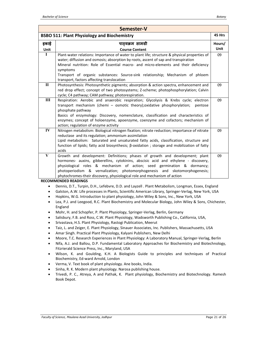| Semester-V   |                                                                                                                                                                                                                                                                                                                                                                                                                    |             |
|--------------|--------------------------------------------------------------------------------------------------------------------------------------------------------------------------------------------------------------------------------------------------------------------------------------------------------------------------------------------------------------------------------------------------------------------|-------------|
|              | <b>BSBO 511: Plant Physiology and Biochemistry</b>                                                                                                                                                                                                                                                                                                                                                                 | 45 Hrs      |
| इकाई         | पाठ्यक्रम सामग्री                                                                                                                                                                                                                                                                                                                                                                                                  | Hours/      |
| Unit         | <b>Course Content</b>                                                                                                                                                                                                                                                                                                                                                                                              | <b>Unit</b> |
| $\mathbf{I}$ | Plant-water relations: Importance of water to plant life; structure & physical properties of<br>water; diffusion and osmosis; absorption by roots, ascent of sap and transpiration<br>Mineral nutrition: Role of Essential macro- and micro-elements and their deficiency<br>symptoms<br>Transport of organic substances: Source-sink relationship; Mechanism of phloem                                            | 09          |
|              | transport, factors affecting translocation                                                                                                                                                                                                                                                                                                                                                                         |             |
| $\mathbf{I}$ | Photosynthesis: Photosynthetic pigments; absorption & action spectra, enhancement and<br>red drop effect; concept of two photosystems; Z-scheme; photophosphorylation; Calvin<br>cycle; C4 pathway; CAM pathway; photorespiration.                                                                                                                                                                                 | 09          |
| III          | Respiration: Aerobic and anaerobic respiration; Glycolysis & Krebs cycle; electron<br>transport mechanism (chemi - osmotic theory); oxidative phosphorylation;<br>pentose<br>phosphate pathway<br>Basics of enzymology: Discovery, nomenclature, classification and characteristics of<br>enzymes; concept of holoenzyme, apoenzyme, coenzyme and cofactors; mechanism of<br>action; regulation of enzyme activity | 09          |
| IV           | Nitrogen metabolism: Biological nitrogen fixation; nitrate reduction; importance of nitrate<br>reductase and its regulation; ammonium assimilation<br>Lipid metabolism: Saturated and unsaturated fatty acids, classification, structure and<br>function of lipids; fatty acid biosynthesis; $\beta$ -oxidation; storage and mobilization of fatty<br>acids                                                        | 09          |
| V            | Growth and development: Definitions; phases of growth and development; plant<br>hormones- auxins, gibberellins, cytokinins, abscisic acid and ethylene - discovery,<br>physiological roles & mechanism of action; seed germination & dormancy;<br>photoperiodism & vernalization; photomorphogenesis and skotomorphogenesis;<br>phytochromes-their discovery, physiological role and mechanism of action           | 09          |

- Dennis, D.T., Turpin, D.H., Lefebvre, D.D. and Layzell . Plant Metabolism, Longman, Essex, England
- Galston, A.W. Life processes in Plants, Scientific American Library, Springer-Verlag, New York, USA
- Hopkins, W.G. Introduction to plant physiology, John Wiley & Sons, Inc., New York, USA
- Lea, P.J. and Leegood, R.C. Plant Biochemistry and Molecular Biology, John Wiley & Sons, Chichester, England
- Mohr, H. and Schopfer, P. Plant Physiology, Springer-Verlag, Berlin, Germany
- Salisbury, F.B. and Ross, C.W. Plant Physiology, Wadsworth Publishing Co., California, USA,
- Srivastava, H.S. Plant Physiology, Rastogi Publication, Meerut
- Taiz, L. and Zeiger, E. Plant Physiology, Sinauer Associates, Inc. Publishers, Massachusetts, USA
- Amar Singh. Practical Plant Physiology, Kalyani Publishers, New Delhi
- Moore, T.C. Research Experiences in Plant Physiology: A Laboratory Manual, Springer-Verlag, Berlin
- Nifa, A.J. and Ballou, D.P. Fundamental Laboratory Approaches for Biochemistry and Biotechnology, Fitzrierald Science Press, Inc., Maryland, USA
- Wilson, K. and Goulding, K.H. A Biologists Guide to principles and techniques of Practical Biochemistry, Ed-ward Arnold, London
- Verma, V. Text book of plant physiology. Ane books, India.
- Sinha, R. K. Modern plant physiology. Narosa publishing house.
- Trivedi, P. C., Atreya, A and Pathak, K. Plant physiology, Biochemistry and Biotechnology. Ramesh Book Depot.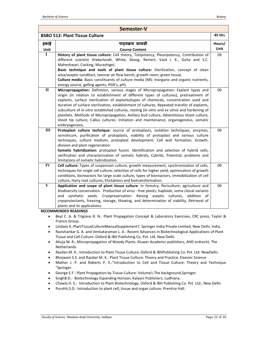|                             | Semester-V                                                                                                                                                                                                                                                                                                                                                                                                                                                                                                                                                                                                                                                                       |        |  |
|-----------------------------|----------------------------------------------------------------------------------------------------------------------------------------------------------------------------------------------------------------------------------------------------------------------------------------------------------------------------------------------------------------------------------------------------------------------------------------------------------------------------------------------------------------------------------------------------------------------------------------------------------------------------------------------------------------------------------|--------|--|
|                             | <b>BSBO 512: Plant Tissue Culture</b>                                                                                                                                                                                                                                                                                                                                                                                                                                                                                                                                                                                                                                            | 45 Hrs |  |
| इकाई                        | पाठ्यक्रम सामग्री                                                                                                                                                                                                                                                                                                                                                                                                                                                                                                                                                                                                                                                                | Hours/ |  |
| Unit                        | <b>Course Content</b>                                                                                                                                                                                                                                                                                                                                                                                                                                                                                                                                                                                                                                                            | Unit   |  |
| I                           | History of plant tissue culture: Cell theory, Totipotency, Pleuripotency, Contribution of<br>different scientist (Haberlandt, White, Skoog, Reinert, Vasil I. K., Guha and S.C.<br>Maheshwari, Cocking, Murashige).<br>Basic technique and tools of plant tissue culture: Sterilization, concept of clean<br>area/aseptic condition, laminar air flow bench, growth room, green house.                                                                                                                                                                                                                                                                                           | 09     |  |
|                             | Culture media: Basic constituents of culture media (MS: Inorganic and organic nutrients,<br>energy source, gelling agents, PGR's, pH).                                                                                                                                                                                                                                                                                                                                                                                                                                                                                                                                           |        |  |
| $\mathbf{I}$                | Micropropagation: Definition, various stages of Micropropagation: Explant types and<br>origin (in relation to establishment of different types of cultures), pretreatment of<br>explants, surface sterilization of explants(types of chemicals, concentration used and<br>duration of surface sterilization, establishment of cultures, Repeated transfer of explants,<br>subculture of In vitro established cultures, rooting (In vitro and ex vitro) and hardening of<br>plantlets. Methods of Micropropagation, Axillary bud culture, Adventitious shoot culture,<br>shoot tip culture, Callus cultures: Initiation and maintenance, organogenesis, somatic<br>embryogenesis. | 09     |  |
| Ш                           | Protoplast culture technique: source of protoplasts, isolation techniques, enzymes,<br>osmoticum, purification of protoplasts, viability of protoplast and various culture<br>techniques, culture medium, protoplast development: Cell wall formation, Growth,<br>division and plant regeneration.<br>Somatic hybridization: protoplast fusion. Identification and selection of hybrid cells,<br>verification and characterization of somatic hybrids, Cybrids, Potential, problems and<br>limitations of somatic hybridization.                                                                                                                                                 | 09     |  |
| $\overline{\mathbf{IV}}$    | Cell culture: Types of suspension culture, growth measurement, synchronization of cells,<br>techniques for single cell culture, selection of cells for higher yield, optimization of growth<br>conditions, bioreactors for large scale culture, types of bioreactors, immobilization of cell<br>culture, Hairy root cultures, Elicitations and biotransformation.                                                                                                                                                                                                                                                                                                                | 09     |  |
| $\overline{\mathbf{V}}$     | Application and scope of plant tissue culture: In forestry, floriculture, agriculture and<br>biodiversity conservation. Production of virus - free plants, haploids, soma clonal variants<br>and synthetic seeds. Cryopreservation: Raising aseptic cultures, addition<br>of<br>cryoprotectants, freezing, storage, thawing, and determination of viability, Retrieval of<br>plants and its applications.                                                                                                                                                                                                                                                                        | 09     |  |
| <b>RECOMMENDED READINGS</b> |                                                                                                                                                                                                                                                                                                                                                                                                                                                                                                                                                                                                                                                                                  |        |  |
| $\bullet$                   | Beyl C. A. & Trigiano R. N.: Plant Propagation Concept & Laboratory Exercises, CRC press, Taylor &<br>Francis Group.<br>Lindsey K.: PlantTissueCultureManualSupplement7, Springer India Private Limited, New Delhi, India.                                                                                                                                                                                                                                                                                                                                                                                                                                                       |        |  |

- Ravishankar G. A. and Venkataraman L. A.: Recent Advances in Biotechnological Applications of Plant Tissue and Cell Culture. Oxford & IBH Publishing Co. Pvt. Ltd. New Delhi.
- Ahuja M. R.; Micropropagation of Woody Plants. Kluwer Academic publishers, AHD ordrecht, The Netherlands.
- Razdan M. K.: Introduction to Plant Tissue Culture, Oxford & IBHPublishing Co. Pvt. Ltd. NewDelhi.
- Bhojwani S.S. and Razdan M. K.: Plant Tissue Culture: Theory and Practice, Elsevier Science
- Mather J. P. and Roberts P. E.:"Introduction to Cell and Tissue Culture: Theory and Technique "Springer.
- George E.F.: Plant Propagation by Tissue Culture: Volume1.The background,Springer.
- SinghB.D.: Biotechnology Expanding Horizon, Kalyani Publishers, Ludhiana.
- Chawla H. S.: Introduction to Plant Biotechnology, Oxford & IBH Publishing Co. Pvt. Ltd., New Delhi.
- Purohit,S.D.: Introduction to plant cell, tissue and organ culture. Prentice Hall.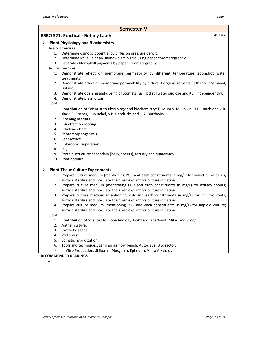|   | Semester-V                                          |                                                                                                                                                                             |  |
|---|-----------------------------------------------------|-----------------------------------------------------------------------------------------------------------------------------------------------------------------------------|--|
|   | 45 Hrs<br><b>BSBO 521: Practical - Botany Lab-V</b> |                                                                                                                                                                             |  |
| ⋗ |                                                     | <b>Plant Physiology and Biochemistry</b>                                                                                                                                    |  |
|   |                                                     | <b>Major Exercises</b>                                                                                                                                                      |  |
|   | 1.                                                  | Determine osmotic potential by diffusion pressure deficit.                                                                                                                  |  |
|   | 2.                                                  | Determine Rf value of an unknown amio acid using paper chromatography.                                                                                                      |  |
|   |                                                     | 3. Separate chlorophyll pigments by paper chromatography.                                                                                                                   |  |
|   |                                                     | <b>Minor Exercises</b>                                                                                                                                                      |  |
|   |                                                     | 1. Demonstrate effect on membrane permeability by different temperature (room, hot water<br>treatments)                                                                     |  |
|   |                                                     | 2. Demonstrate effect on membrane permeability by different organic solvents (Ethanol, Methanol,<br>Butanol).                                                               |  |
|   |                                                     | 3. Demonstrate opening and closing of Stomata (using distil water, sucrose and KCl, independently).                                                                         |  |
|   | 4.                                                  | Demonstrate plasmolysis                                                                                                                                                     |  |
|   | Spots                                               |                                                                                                                                                                             |  |
|   | 1.                                                  | Contribution of Scientist to Physiology and biochemistry: E. Munch, M. Calvin, H.P. Hatch and C.R.<br>slack, E. Fischer, P. Mitchel, S.B. Hendricks and H.A. Borthwick.     |  |
|   | 2.                                                  | Ripening of fruits.                                                                                                                                                         |  |
|   | 3.                                                  | IBA effect on rooting                                                                                                                                                       |  |
|   | 4.                                                  | Ethylene effect                                                                                                                                                             |  |
|   | 5.                                                  | Photomorphogenesis                                                                                                                                                          |  |
|   | 6.                                                  | Senescence                                                                                                                                                                  |  |
|   | 7.                                                  | Chlorophyll separation                                                                                                                                                      |  |
|   | 8.                                                  | RQ.                                                                                                                                                                         |  |
|   | 9.                                                  | Protein structure: secondary (helix, sheets), tertiary and quaternary.                                                                                                      |  |
|   |                                                     | 10. Root nodules.                                                                                                                                                           |  |
|   |                                                     | <b>Plant Tissue Culture Experiments</b>                                                                                                                                     |  |
|   | 1.                                                  | Prepare culture medium (mentioning PGR and each constituents in mg/L) for induction of callus;<br>surface sterilize and inoculate the given explant for culture initiation. |  |
|   |                                                     | 2. Prepare culture medium (mentioning PGR and each constituents in mg/L) for axillary shoots;<br>surface sterilize and inoculate the given explant for culture initiation.  |  |
|   | 3.                                                  | Prepare culture medium (mentioning PGR and each constituents in mg/L) for In vitro roots;<br>surface sterilize and inoculate the given explant for culture initiation.      |  |
|   | 4.                                                  | Prepare culture medium (mentioning PGR and each constituents in mg/L) for haploid culture;                                                                                  |  |
|   | Spots                                               | surface sterilize and inoculate the given explant for culture initiation.                                                                                                   |  |
|   | 1.                                                  | Contribution of Scientist to Biotechnology: Gottlieb Haberlandt, Miller and Skoog.                                                                                          |  |
|   | 2.                                                  | Anther culture.                                                                                                                                                             |  |
|   | 3.                                                  | Synthetic seeds.                                                                                                                                                            |  |
|   |                                                     | 4. Protoplast                                                                                                                                                               |  |
|   |                                                     | 5. Somatic hybridization.                                                                                                                                                   |  |
|   | 6.                                                  | Tools and techniques: Laminar air flow bench, Autoclave, Bioreactor.                                                                                                        |  |
|   |                                                     |                                                                                                                                                                             |  |

7. In Vitro Production: Shikonin; Diosgenin; Ephedrin; Vinca Alkaloids

### **RECOMMENDED READINGS**

•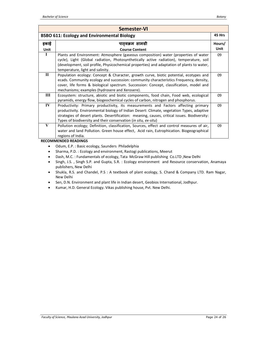| Semester-VI |                                                                                                                                                                                                                                                                                                                                                     |        |
|-------------|-----------------------------------------------------------------------------------------------------------------------------------------------------------------------------------------------------------------------------------------------------------------------------------------------------------------------------------------------------|--------|
|             | <b>BSBO 611: Ecology and Environmental Biology</b>                                                                                                                                                                                                                                                                                                  | 45 Hrs |
| इकाई        | पाठयक्रम सामग्री                                                                                                                                                                                                                                                                                                                                    | Hours/ |
| <b>Unit</b> | <b>Course Content</b>                                                                                                                                                                                                                                                                                                                               | Unit   |
| 1           | Plants and Environment: Atmosphere (gaseous composition) water (properties of water<br>cycle), Light (Global radiation, Photosynthetically active radiation), temperature, soil<br>(development, soil profile, Physicochemical properties) and adaptation of plants to water,<br>temperature, light and salinity.                                   | 09     |
| П           | Population ecology: Concept & Character, growth curve, biotic potential, ecotypes and<br>ecads. Community ecology and succession: community characteristics Frequency, density,<br>cover, life forms & biological spectrum. Succession: Concept, classification, model and<br>mechanisms; examples (hydrosere and Xerosere).                        | 09     |
| Ш           | Ecosystem: structure, abiotic and biotic components, food chain, Food web, ecological<br>pyramids, energy flow, biogeochemical cycles of carbon, nitrogen and phosphorus.                                                                                                                                                                           | 09     |
| $\bf{IV}$   | Productivity: Primary productivity, its measurements and Factors affecting primary<br>productivity. Environmental biology of Indian Desert: Climate, vegetation Types, adaptive<br>strategies of desert plants. Desertification: meaning, causes, critical issues. Biodiversity:<br>Types of biodiversity and their conservation (in situ, ex-situ) | 09     |
| V           | Pollution ecology; Definition, classification, Sources, effect and control measures of air,<br>water and land Pollution. Green house effect, Acid rain, Eutrophication. Biogeographical<br>regions of India.                                                                                                                                        | 09     |

- Odum, E.P. : Basic ecology, Saunders Philadelphia
- Sharma, P.D. : Ecology and environment, Rastogi publications, Meerut
- Dash, M.C. : Fundamentals of ecology, Tata McGraw Hill publishing Co.LTD ,New Delhi
- Singh, J.S. , Singh S.P. and Gupta, S.R. : Ecology environment and Resource conservation, Anamaya publishers, New Delhi
- Shukla, R.S. and Chandel, P.S : A textbook of plant ecology, S. Chand & Company LTD. Ram Nagar, New Delhi
- Sen, D.N. Environment and plant life in Indian desert, Geobios International, Jodhpur.
- Kumar, H.D. General Ecology. Vikas publishing house, Pvt. New Delhi.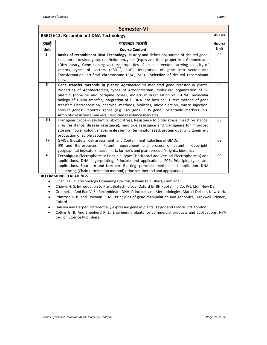| Semester-VI  |                                                                                                                                                                                                                                                                                                                                                                                                                                                                                                                                                                                                       |             |
|--------------|-------------------------------------------------------------------------------------------------------------------------------------------------------------------------------------------------------------------------------------------------------------------------------------------------------------------------------------------------------------------------------------------------------------------------------------------------------------------------------------------------------------------------------------------------------------------------------------------------------|-------------|
|              | <b>BSBO 612: Recombinant DNA Technology</b>                                                                                                                                                                                                                                                                                                                                                                                                                                                                                                                                                           | 45 Hrs      |
| इकाई         | पाठयक्रम सामग्री                                                                                                                                                                                                                                                                                                                                                                                                                                                                                                                                                                                      | Hours/      |
| Unit         | <b>Course Content</b>                                                                                                                                                                                                                                                                                                                                                                                                                                                                                                                                                                                 | <b>Unit</b> |
| $\mathbf{I}$ | Basics of recombinant DNA Technology: History and definition, source of desired gene,<br>isolation of desired gene, restriction enzymes (types and their properties), Genomic and<br>cDNA library, Gene cloning vectors: properties of an ideal vector, carrying capacity of<br>vectors, types of vectors (pBR <sup>322</sup> , pUC). Integration of gene into vector and<br>Transformation. artificial chromosome (BAC, YAC). Selection of desired recombinant<br>cells.                                                                                                                             | 09          |
| $\mathbf{I}$ | Gene transfer methods in plants: Agrobacterium mediated gene transfer in plants:<br>Properties of Agrobacterium, types of Agrobacterium, molecular organization of Ti-<br>plasmid (nopaline and octapine types), molecular organization of T-DNA, molecular<br>biology of T-DNA transfer, integration of T-DNA into host cell. Direct method of gene<br>transfer: Electroporation, chemical methods, biolistics, microinjection, macro injection.<br>Marker genes: Reporter genes (e.g. Lux gene, GUS gene), Selectable markers (e.g.<br>Antibiotic resistance markers, Herbicide resistance markers) | 09          |
| III          | Transgenic Crops-Resistant to abiotic stress, Resistance to biotic stress (Insect resistance,<br>virus resistance, disease resistance), herbicide resistance and transgenics for improved<br>storage, flower colour, shape, male sterility, terminator seed, protein quality, vitamin and<br>production of edible vaccines                                                                                                                                                                                                                                                                            | 09          |
| IV           | GMOs, Biosafety, Risk assessment, and Containment. Labelling of GMOs.<br>Patent: requirement and process of patent.<br>IPR and Bioresources.<br>Copyright,<br>geographical indicators, trade mark, farmer's and plant breeder's rights; bioethics                                                                                                                                                                                                                                                                                                                                                     | 09          |
| V            | Techniques: Electrophoresis: Principle, types (Horizontal and Vertical Electrophoresis) and<br>applications. DNA fingerprinting: Principle and applications. PCR: Principle, types and<br>applications. Southern and Northern Blotting: principle, method and application. DNA<br>sequencing (Chain termination method) principle, method and applications.<br><b>RECOMMENDED READINGS</b>                                                                                                                                                                                                            | 09          |

• Singh B.D. Biotechnology Expanding Horizon, Kalyani Publishers, Ludhiana.

- Chawla H. S. Introduction to Plant Biotechnology, Oxford & IBH Publishing Co. Pvt. Ltd., New Delhi.
- GreeneJ. J. And Rao V. S.: Recombinant DNA–Principles and Methodologies. Marcel Dekker, New York.
- Primrose S. B. and Twyman R. M.: Principles of gene manipulation and genomics, Blackwell Science, Oxford.
- Hansen and Harper: Differentially expressed gene in plants, Taylor and Francis Ltd. London.
- Collins G. B. And Shepherd R. J.: Engineering plants for commercial products and applications, NYA cad. of Science Publishers.